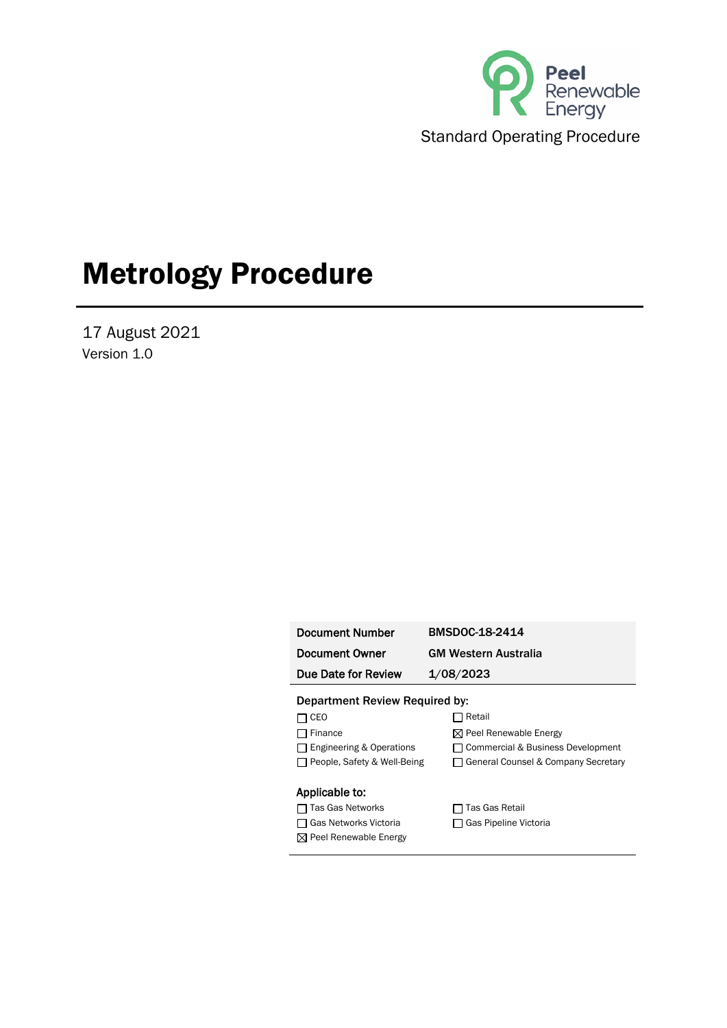

# Metrology Procedure

17 August 2021 Version 1.0

| Document Number     | BMSDOC-18-2414              |
|---------------------|-----------------------------|
| Document Owner      | <b>GM Western Australia</b> |
| Due Date for Review | 1/08/2023                   |

#### Department Review Required by:

- □ CEO □ Retail
- □ Finance  $\boxtimes$  Peel Renewable Energy
- □ Engineering & Operations □ Commercial & Business Development
- □ People, Safety & Well-Being □ General Counsel & Company Secretary

#### Applicable to:

- □ Tas Gas Networks □ Tas Gas Retail
- 
- Peel Renewable Energy
	-

□ Gas Networks Victoria □ □ Gas Pipeline Victoria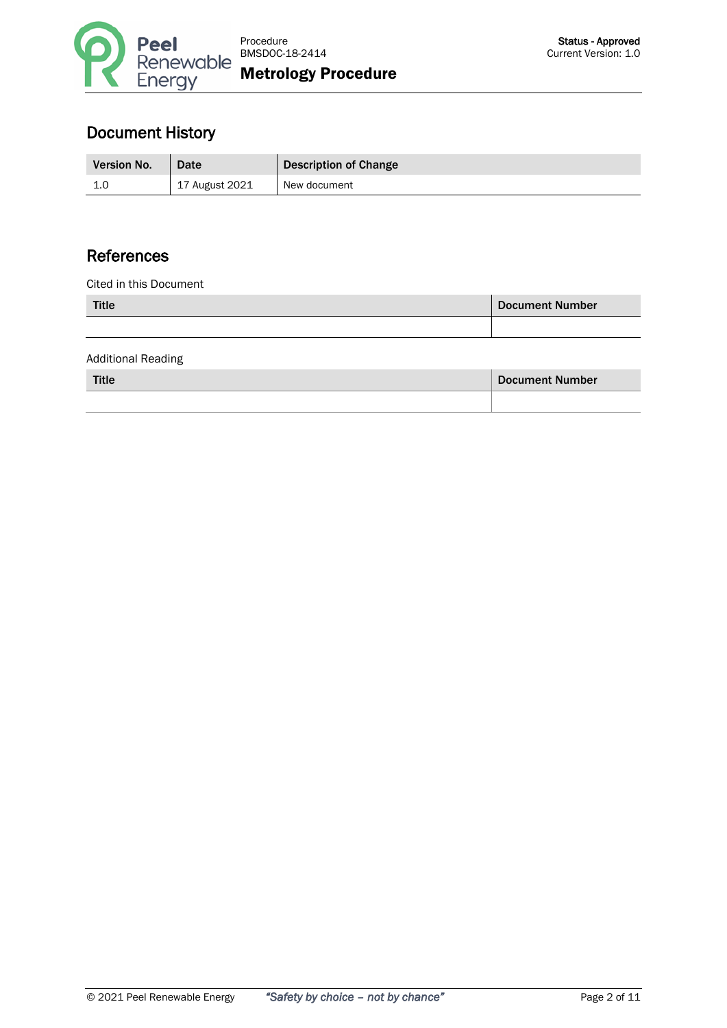

# Document History

| <b>Version No.</b> | <b>Date</b>                 | <b>Description of Change</b> |
|--------------------|-----------------------------|------------------------------|
| ∸∙                 | <sup>1</sup> 17 August 2021 | New document                 |

# References

Cited in this Document

| <b>Title</b> | <b>Document Number</b> |
|--------------|------------------------|
|              |                        |

Additional Reading

Title Document Number

| © 2021 Peel Renewable Energy | "Safety by choice - not by chance" |
|------------------------------|------------------------------------|
|                              |                                    |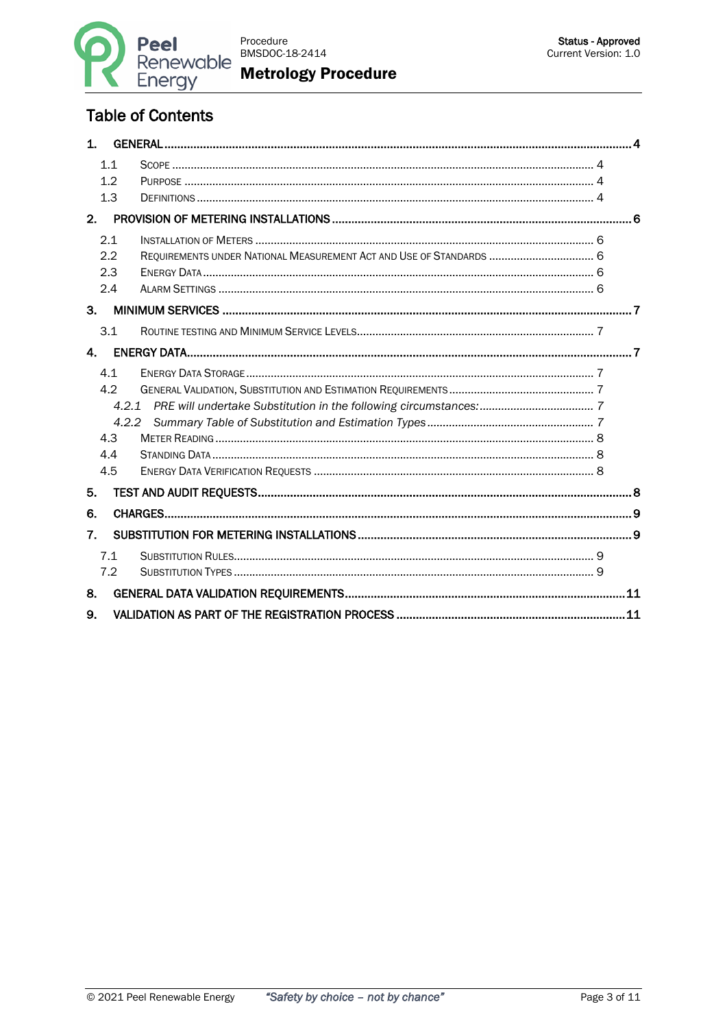

# **Table of Contents**

| 1.                 |       |                                                                     |  |
|--------------------|-------|---------------------------------------------------------------------|--|
|                    | 1.1   |                                                                     |  |
|                    | 12    |                                                                     |  |
|                    | 1.3   |                                                                     |  |
| 2.                 |       |                                                                     |  |
|                    | 2.1   |                                                                     |  |
|                    | 2.2   | REQUIREMENTS UNDER NATIONAL MEASUREMENT ACT AND USE OF STANDARDS  6 |  |
|                    | 2.3   |                                                                     |  |
|                    | 2.4   |                                                                     |  |
| 3.                 |       |                                                                     |  |
|                    | 3.1   |                                                                     |  |
| $\mathbf{\Lambda}$ |       |                                                                     |  |
|                    | 4.1   |                                                                     |  |
|                    | 4.2   |                                                                     |  |
|                    | 4.2.1 |                                                                     |  |
|                    | 4.2.2 |                                                                     |  |
|                    | 4.3   |                                                                     |  |
|                    | 4.4   |                                                                     |  |
|                    | 4.5   |                                                                     |  |
| 5.                 |       |                                                                     |  |
| 6.                 |       |                                                                     |  |
| 7 <sub>1</sub>     |       |                                                                     |  |
|                    | 7.1   |                                                                     |  |
|                    | 7.2   |                                                                     |  |
| 8.                 |       |                                                                     |  |
| 9.                 |       |                                                                     |  |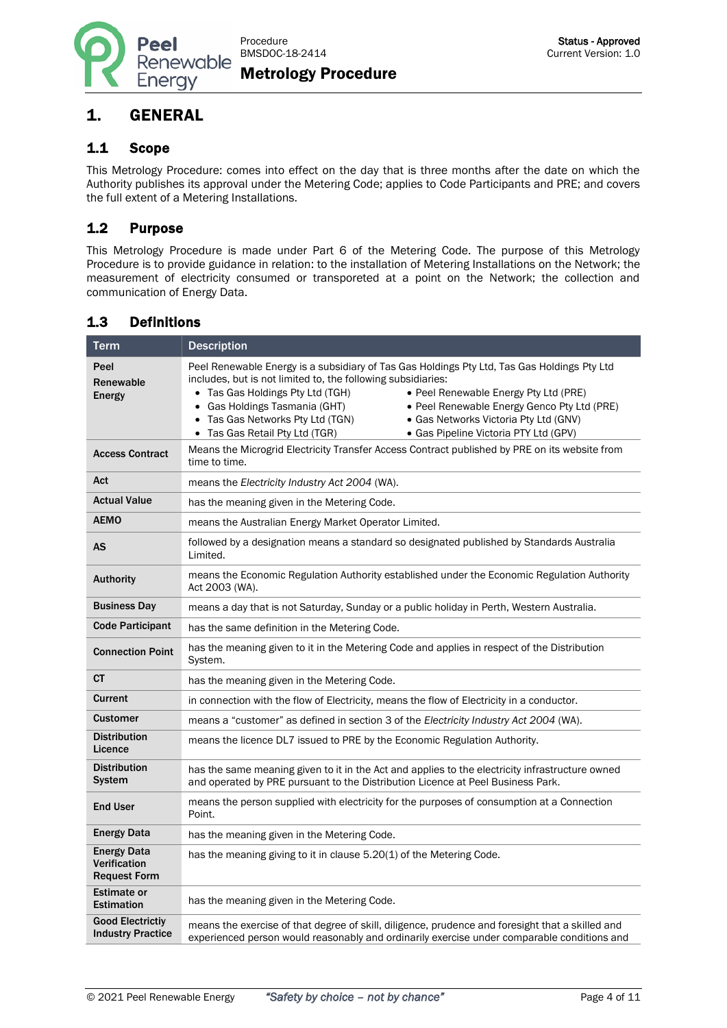

## Metrology Procedure

## <span id="page-3-0"></span>1. GENERAL

#### <span id="page-3-1"></span>1.1 Scope

This Metrology Procedure: comes into effect on the day that is three months after the date on which the Authority publishes its approval under the Metering Code; applies to Code Participants and PRE; and covers the full extent of a Metering Installations.

#### <span id="page-3-2"></span>1.2 Purpose

This Metrology Procedure is made under Part 6 of the Metering Code. The purpose of this Metrology Procedure is to provide guidance in relation: to the installation of Metering Installations on the Network; the measurement of electricity consumed or transporeted at a point on the Network; the collection and communication of Energy Data.

#### <span id="page-3-3"></span>1.3 Definitions

| <b>Term</b>                                               | <b>Description</b>                                                                                                                                                                                                                                                                                                                                                                                                                                                           |  |
|-----------------------------------------------------------|------------------------------------------------------------------------------------------------------------------------------------------------------------------------------------------------------------------------------------------------------------------------------------------------------------------------------------------------------------------------------------------------------------------------------------------------------------------------------|--|
| Peel<br>Renewable<br><b>Energy</b>                        | Peel Renewable Energy is a subsidiary of Tas Gas Holdings Pty Ltd, Tas Gas Holdings Pty Ltd<br>includes, but is not limited to, the following subsidiaries:<br>• Tas Gas Holdings Pty Ltd (TGH)<br>• Peel Renewable Energy Pty Ltd (PRE)<br>Gas Holdings Tasmania (GHT)<br>• Peel Renewable Energy Genco Pty Ltd (PRE)<br>• Tas Gas Networks Pty Ltd (TGN)<br>• Gas Networks Victoria Pty Ltd (GNV)<br>Tas Gas Retail Pty Ltd (TGR)<br>• Gas Pipeline Victoria PTY Ltd (GPV) |  |
| <b>Access Contract</b>                                    | Means the Microgrid Electricity Transfer Access Contract published by PRE on its website from<br>time to time.                                                                                                                                                                                                                                                                                                                                                               |  |
| Act                                                       | means the Electricity Industry Act 2004 (WA).                                                                                                                                                                                                                                                                                                                                                                                                                                |  |
| <b>Actual Value</b>                                       | has the meaning given in the Metering Code.                                                                                                                                                                                                                                                                                                                                                                                                                                  |  |
| <b>AEMO</b>                                               | means the Australian Energy Market Operator Limited.                                                                                                                                                                                                                                                                                                                                                                                                                         |  |
| <b>AS</b>                                                 | followed by a designation means a standard so designated published by Standards Australia<br>Limited.                                                                                                                                                                                                                                                                                                                                                                        |  |
| <b>Authority</b>                                          | means the Economic Regulation Authority established under the Economic Regulation Authority<br>Act 2003 (WA).                                                                                                                                                                                                                                                                                                                                                                |  |
| <b>Business Day</b>                                       | means a day that is not Saturday, Sunday or a public holiday in Perth, Western Australia.                                                                                                                                                                                                                                                                                                                                                                                    |  |
| <b>Code Participant</b>                                   | has the same definition in the Metering Code.                                                                                                                                                                                                                                                                                                                                                                                                                                |  |
| <b>Connection Point</b>                                   | has the meaning given to it in the Metering Code and applies in respect of the Distribution<br>System.                                                                                                                                                                                                                                                                                                                                                                       |  |
| СT                                                        | has the meaning given in the Metering Code.                                                                                                                                                                                                                                                                                                                                                                                                                                  |  |
| Current                                                   | in connection with the flow of Electricity, means the flow of Electricity in a conductor.                                                                                                                                                                                                                                                                                                                                                                                    |  |
| Customer                                                  | means a "customer" as defined in section 3 of the Electricity Industry Act 2004 (WA).                                                                                                                                                                                                                                                                                                                                                                                        |  |
| <b>Distribution</b><br>Licence                            | means the licence DL7 issued to PRE by the Economic Regulation Authority.                                                                                                                                                                                                                                                                                                                                                                                                    |  |
| <b>Distribution</b><br>System                             | has the same meaning given to it in the Act and applies to the electricity infrastructure owned<br>and operated by PRE pursuant to the Distribution Licence at Peel Business Park.                                                                                                                                                                                                                                                                                           |  |
| <b>End User</b>                                           | means the person supplied with electricity for the purposes of consumption at a Connection<br>Point.                                                                                                                                                                                                                                                                                                                                                                         |  |
| <b>Energy Data</b>                                        | has the meaning given in the Metering Code.                                                                                                                                                                                                                                                                                                                                                                                                                                  |  |
| <b>Energy Data</b><br>Verification<br><b>Request Form</b> | has the meaning giving to it in clause 5.20(1) of the Metering Code.                                                                                                                                                                                                                                                                                                                                                                                                         |  |
| <b>Estimate or</b><br><b>Estimation</b>                   | has the meaning given in the Metering Code.                                                                                                                                                                                                                                                                                                                                                                                                                                  |  |
| <b>Good Electrictiy</b><br><b>Industry Practice</b>       | means the exercise of that degree of skill, diligence, prudence and foresight that a skilled and<br>experienced person would reasonably and ordinarily exercise under comparable conditions and                                                                                                                                                                                                                                                                              |  |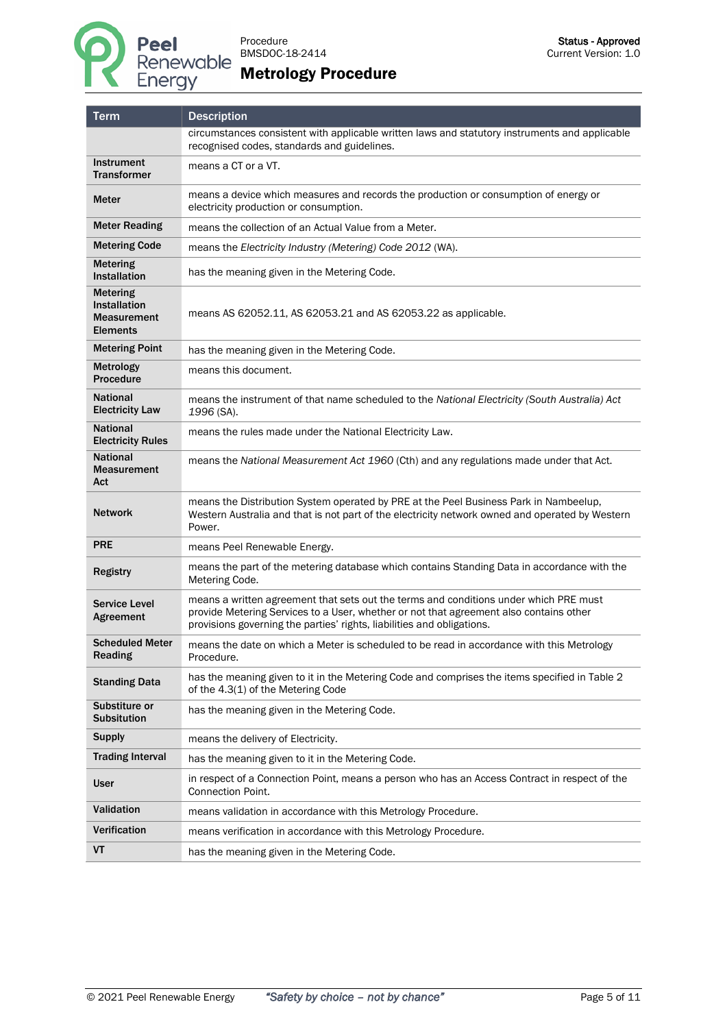

# Metrology Procedure

| <b>Term</b>                                                              | <b>Description</b>                                                                                                                                                                                                                                        |  |
|--------------------------------------------------------------------------|-----------------------------------------------------------------------------------------------------------------------------------------------------------------------------------------------------------------------------------------------------------|--|
|                                                                          | circumstances consistent with applicable written laws and statutory instruments and applicable<br>recognised codes, standards and guidelines.                                                                                                             |  |
| Instrument<br><b>Transformer</b>                                         | means a CT or a VT.                                                                                                                                                                                                                                       |  |
| <b>Meter</b>                                                             | means a device which measures and records the production or consumption of energy or<br>electricity production or consumption.                                                                                                                            |  |
| <b>Meter Reading</b>                                                     | means the collection of an Actual Value from a Meter.                                                                                                                                                                                                     |  |
| <b>Metering Code</b>                                                     | means the Electricity Industry (Metering) Code 2012 (WA).                                                                                                                                                                                                 |  |
| Metering<br>Installation                                                 | has the meaning given in the Metering Code.                                                                                                                                                                                                               |  |
| <b>Metering</b><br>Installation<br><b>Measurement</b><br><b>Elements</b> | means AS 62052.11, AS 62053.21 and AS 62053.22 as applicable.                                                                                                                                                                                             |  |
| <b>Metering Point</b>                                                    | has the meaning given in the Metering Code.                                                                                                                                                                                                               |  |
| Metrology<br>Procedure                                                   | means this document.                                                                                                                                                                                                                                      |  |
| <b>National</b><br><b>Electricity Law</b>                                | means the instrument of that name scheduled to the National Electricity (South Australia) Act<br>1996 (SA).                                                                                                                                               |  |
| <b>National</b><br><b>Electricity Rules</b>                              | means the rules made under the National Electricity Law.                                                                                                                                                                                                  |  |
| <b>National</b><br><b>Measurement</b><br>Act                             | means the National Measurement Act 1960 (Cth) and any regulations made under that Act.                                                                                                                                                                    |  |
| <b>Network</b>                                                           | means the Distribution System operated by PRE at the Peel Business Park in Nambeelup,<br>Western Australia and that is not part of the electricity network owned and operated by Western<br>Power.                                                        |  |
| <b>PRE</b>                                                               | means Peel Renewable Energy.                                                                                                                                                                                                                              |  |
| <b>Registry</b>                                                          | means the part of the metering database which contains Standing Data in accordance with the<br>Metering Code.                                                                                                                                             |  |
| <b>Service Level</b><br>Agreement                                        | means a written agreement that sets out the terms and conditions under which PRE must<br>provide Metering Services to a User, whether or not that agreement also contains other<br>provisions governing the parties' rights, liabilities and obligations. |  |
| <b>Scheduled Meter</b><br>Reading                                        | means the date on which a Meter is scheduled to be read in accordance with this Metrology<br>Procedure.                                                                                                                                                   |  |
| <b>Standing Data</b>                                                     | has the meaning given to it in the Metering Code and comprises the items specified in Table 2<br>of the 4.3(1) of the Metering Code                                                                                                                       |  |
| Substiture or<br><b>Subsitution</b>                                      | has the meaning given in the Metering Code.                                                                                                                                                                                                               |  |
| <b>Supply</b>                                                            | means the delivery of Electricity.                                                                                                                                                                                                                        |  |
| <b>Trading Interval</b>                                                  | has the meaning given to it in the Metering Code.                                                                                                                                                                                                         |  |
| <b>User</b>                                                              | in respect of a Connection Point, means a person who has an Access Contract in respect of the<br>Connection Point.                                                                                                                                        |  |
| Validation                                                               | means validation in accordance with this Metrology Procedure.                                                                                                                                                                                             |  |
| Verification                                                             | means verification in accordance with this Metrology Procedure.                                                                                                                                                                                           |  |
| VT                                                                       | has the meaning given in the Metering Code.                                                                                                                                                                                                               |  |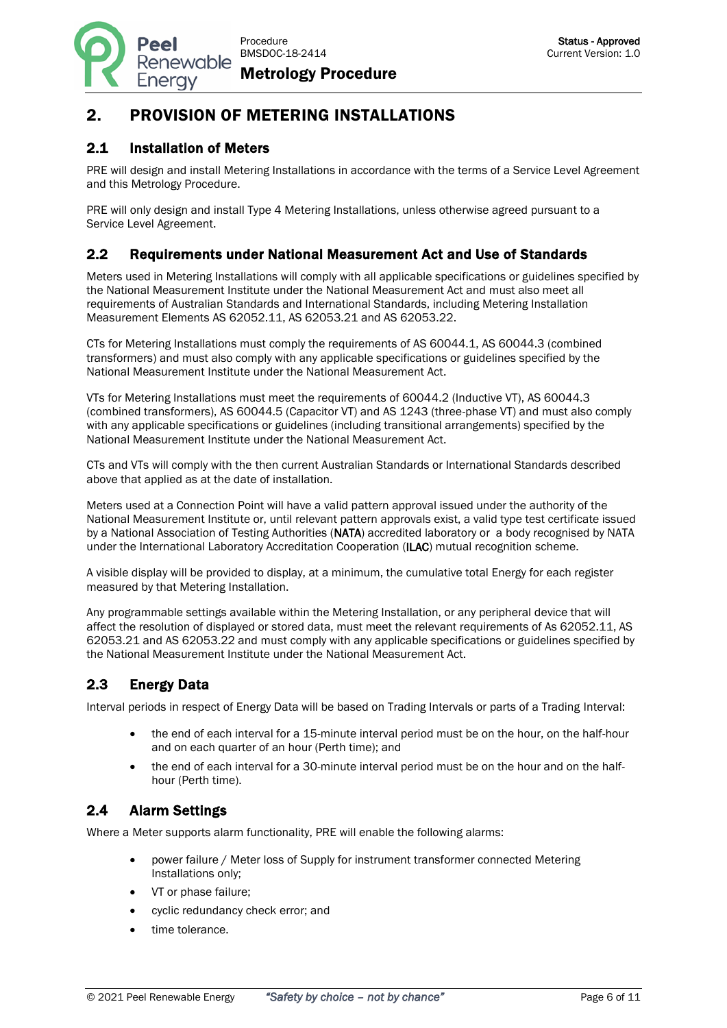Procedure BMSDOC-18-2414



# <span id="page-5-0"></span>2. PROVISION OF METERING INSTALLATIONS

## <span id="page-5-1"></span>2.1 Installation of Meters

PRE will design and install Metering Installations in accordance with the terms of a Service Level Agreement and this Metrology Procedure.

PRE will only design and install Type 4 Metering Installations, unless otherwise agreed pursuant to a Service Level Agreement.

## <span id="page-5-2"></span>2.2 Requirements under National Measurement Act and Use of Standards

Meters used in Metering Installations will comply with all applicable specifications or guidelines specified by the National Measurement Institute under the National Measurement Act and must also meet all requirements of Australian Standards and International Standards, including Metering Installation Measurement Elements AS 62052.11, AS 62053.21 and AS 62053.22.

CTs for Metering Installations must comply the requirements of AS 60044.1, AS 60044.3 (combined transformers) and must also comply with any applicable specifications or guidelines specified by the National Measurement Institute under the National Measurement Act.

VTs for Metering Installations must meet the requirements of 60044.2 (Inductive VT), AS 60044.3 (combined transformers), AS 60044.5 (Capacitor VT) and AS 1243 (three-phase VT) and must also comply with any applicable specifications or guidelines (including transitional arrangements) specified by the National Measurement Institute under the National Measurement Act.

CTs and VTs will comply with the then current Australian Standards or International Standards described above that applied as at the date of installation.

Meters used at a Connection Point will have a valid pattern approval issued under the authority of the National Measurement Institute or, until relevant pattern approvals exist, a valid type test certificate issued by a National Association of Testing Authorities (NATA) accredited laboratory or a body recognised by NATA under the International Laboratory Accreditation Cooperation (ILAC) mutual recognition scheme.

A visible display will be provided to display, at a minimum, the cumulative total Energy for each register measured by that Metering Installation.

Any programmable settings available within the Metering Installation, or any peripheral device that will affect the resolution of displayed or stored data, must meet the relevant requirements of As 62052.11, AS 62053.21 and AS 62053.22 and must comply with any applicable specifications or guidelines specified by the National Measurement Institute under the National Measurement Act.

# <span id="page-5-3"></span>2.3 Energy Data

Interval periods in respect of Energy Data will be based on Trading Intervals or parts of a Trading Interval:

- the end of each interval for a 15-minute interval period must be on the hour, on the half-hour and on each quarter of an hour (Perth time); and
- the end of each interval for a 30-minute interval period must be on the hour and on the halfhour (Perth time).

## <span id="page-5-4"></span>2.4 Alarm Settings

Where a Meter supports alarm functionality, PRE will enable the following alarms:

- power failure / Meter loss of Supply for instrument transformer connected Metering Installations only;
- VT or phase failure;
- cyclic redundancy check error; and
- time tolerance.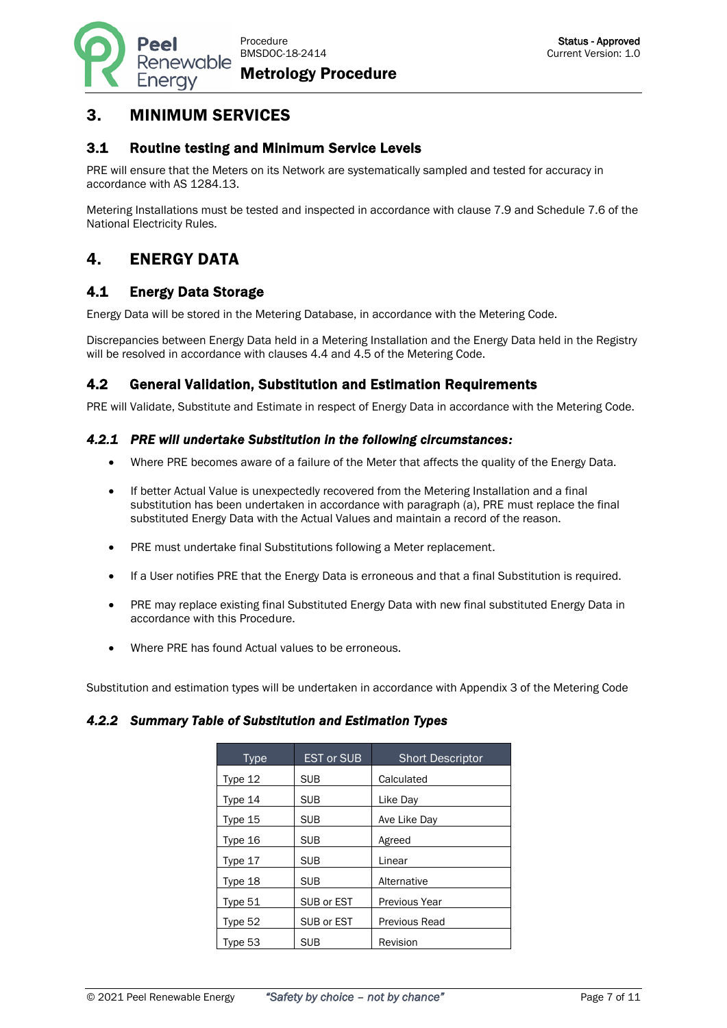Procedure BMSDOC-18-2414

## Metrology Procedure



## <span id="page-6-0"></span>3. MINIMUM SERVICES

#### <span id="page-6-1"></span>3.1 Routine testing and Minimum Service Levels

PRE will ensure that the Meters on its Network are systematically sampled and tested for accuracy in accordance with AS 1284.13.

Metering Installations must be tested and inspected in accordance with clause 7.9 and Schedule 7.6 of the National Electricity Rules.

# <span id="page-6-2"></span>4. ENERGY DATA

## <span id="page-6-3"></span>4.1 Energy Data Storage

Energy Data will be stored in the Metering Database, in accordance with the Metering Code.

Discrepancies between Energy Data held in a Metering Installation and the Energy Data held in the Registry will be resolved in accordance with clauses 4.4 and 4.5 of the Metering Code.

#### <span id="page-6-4"></span>4.2 General Validation, Substitution and Estimation Requirements

PRE will Validate, Substitute and Estimate in respect of Energy Data in accordance with the Metering Code.

#### <span id="page-6-5"></span>*4.2.1 PRE will undertake Substitution in the following circumstances:*

- Where PRE becomes aware of a failure of the Meter that affects the quality of the Energy Data.
- If better Actual Value is unexpectedly recovered from the Metering Installation and a final substitution has been undertaken in accordance with paragraph (a), PRE must replace the final substituted Energy Data with the Actual Values and maintain a record of the reason.
- PRE must undertake final Substitutions following a Meter replacement.
- If a User notifies PRE that the Energy Data is erroneous and that a final Substitution is required.
- PRE may replace existing final Substituted Energy Data with new final substituted Energy Data in accordance with this Procedure.
- Where PRE has found Actual values to be erroneous.

Substitution and estimation types will be undertaken in accordance with Appendix 3 of the Metering Code

#### <span id="page-6-6"></span>*4.2.2 Summary Table of Substitution and Estimation Types*

| <b>Type</b> | <b>EST or SUB</b> | <b>Short Descriptor</b> |
|-------------|-------------------|-------------------------|
| Type 12     | <b>SUB</b>        | Calculated              |
| Type 14     | <b>SUB</b>        | Like Day                |
| Type 15     | <b>SUB</b>        | Ave Like Day            |
| Type 16     | <b>SUB</b>        | Agreed                  |
| Type 17     | <b>SUB</b>        | Linear                  |
| Type 18     | <b>SUB</b>        | Alternative             |
| Type 51     | SUB or EST        | Previous Year           |
| Type 52     | SUB or EST        | <b>Previous Read</b>    |
| Type 53     | <b>SUB</b>        | Revision                |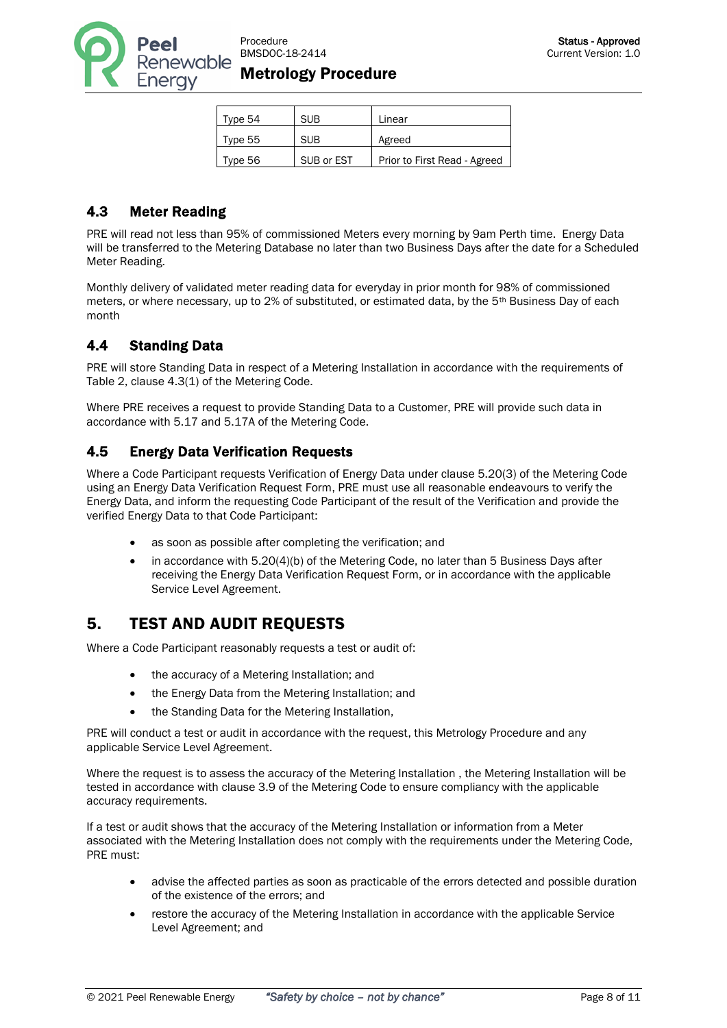

| Type 54 | <b>SUB</b> | Linear                       |
|---------|------------|------------------------------|
| Type 55 | <b>SUB</b> | Agreed                       |
| Type 56 | SUB or EST | Prior to First Read - Agreed |

## <span id="page-7-0"></span>4.3 Meter Reading

PRE will read not less than 95% of commissioned Meters every morning by 9am Perth time. Energy Data will be transferred to the Metering Database no later than two Business Days after the date for a Scheduled Meter Reading.

Monthly delivery of validated meter reading data for everyday in prior month for 98% of commissioned meters, or where necessary, up to 2% of substituted, or estimated data, by the 5<sup>th</sup> Business Day of each month

## <span id="page-7-1"></span>4.4 Standing Data

PRE will store Standing Data in respect of a Metering Installation in accordance with the requirements of Table 2, clause 4.3(1) of the Metering Code.

Where PRE receives a request to provide Standing Data to a Customer, PRE will provide such data in accordance with 5.17 and 5.17A of the Metering Code.

#### <span id="page-7-2"></span>4.5 Energy Data Verification Requests

Where a Code Participant requests Verification of Energy Data under clause 5.20(3) of the Metering Code using an Energy Data Verification Request Form, PRE must use all reasonable endeavours to verify the Energy Data, and inform the requesting Code Participant of the result of the Verification and provide the verified Energy Data to that Code Participant:

- as soon as possible after completing the verification; and
- in accordance with 5.20(4)(b) of the Metering Code, no later than 5 Business Days after receiving the Energy Data Verification Request Form, or in accordance with the applicable Service Level Agreement.

# <span id="page-7-3"></span>5. TEST AND AUDIT REQUESTS

Where a Code Participant reasonably requests a test or audit of:

- the accuracy of a Metering Installation; and
- the Energy Data from the Metering Installation; and
- the Standing Data for the Metering Installation,

PRE will conduct a test or audit in accordance with the request, this Metrology Procedure and any applicable Service Level Agreement.

Where the request is to assess the accuracy of the Metering Installation , the Metering Installation will be tested in accordance with clause 3.9 of the Metering Code to ensure compliancy with the applicable accuracy requirements.

If a test or audit shows that the accuracy of the Metering Installation or information from a Meter associated with the Metering Installation does not comply with the requirements under the Metering Code, PRE must:

- advise the affected parties as soon as practicable of the errors detected and possible duration of the existence of the errors; and
- restore the accuracy of the Metering Installation in accordance with the applicable Service Level Agreement; and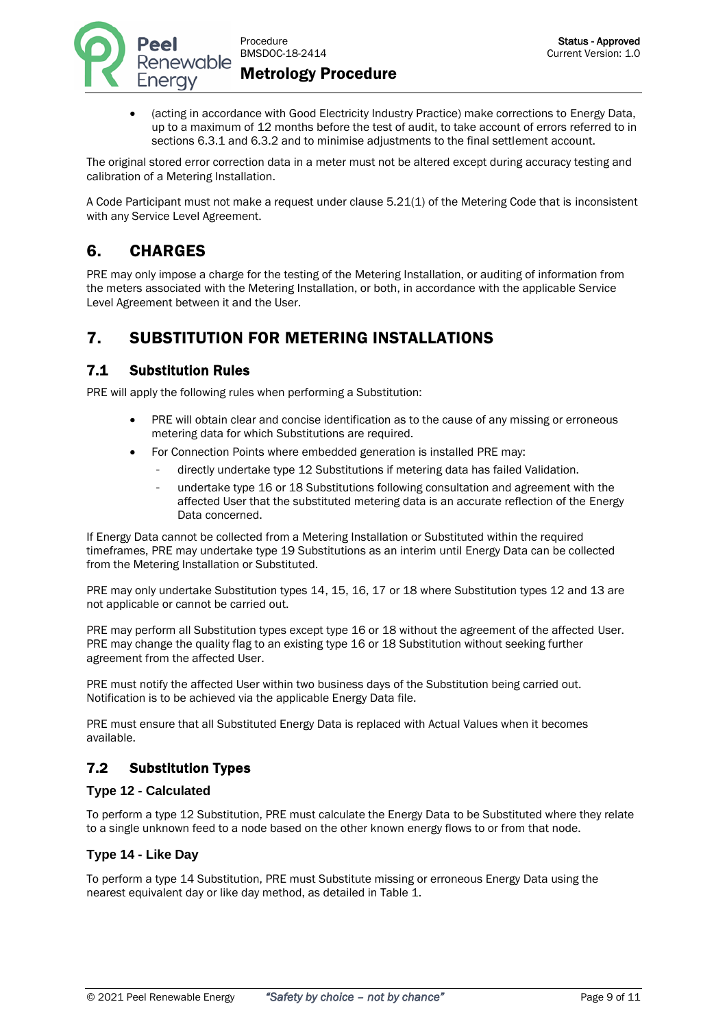

• (acting in accordance with Good Electricity Industry Practice) make corrections to Energy Data, up to a maximum of 12 months before the test of audit, to take account of errors referred to in sections 6.3.1 and 6.3.2 and to minimise adjustments to the final settlement account.

The original stored error correction data in a meter must not be altered except during accuracy testing and calibration of a Metering Installation.

A Code Participant must not make a request under clause 5.21(1) of the Metering Code that is inconsistent with any Service Level Agreement.

# <span id="page-8-0"></span>6. CHARGES

PRE may only impose a charge for the testing of the Metering Installation, or auditing of information from the meters associated with the Metering Installation, or both, in accordance with the applicable Service Level Agreement between it and the User.

# <span id="page-8-1"></span>7. SUBSTITUTION FOR METERING INSTALLATIONS

#### <span id="page-8-2"></span>7.1 Substitution Rules

PRE will apply the following rules when performing a Substitution:

- PRE will obtain clear and concise identification as to the cause of any missing or erroneous metering data for which Substitutions are required.
- For Connection Points where embedded generation is installed PRE may:
	- directly undertake type 12 Substitutions if metering data has failed Validation.
	- undertake type 16 or 18 Substitutions following consultation and agreement with the affected User that the substituted metering data is an accurate reflection of the Energy Data concerned.

If Energy Data cannot be collected from a Metering Installation or Substituted within the required timeframes, PRE may undertake type 19 Substitutions as an interim until Energy Data can be collected from the Metering Installation or Substituted.

PRE may only undertake Substitution types 14, 15, 16, 17 or 18 where Substitution types 12 and 13 are not applicable or cannot be carried out.

PRE may perform all Substitution types except type 16 or 18 without the agreement of the affected User. PRE may change the quality flag to an existing type 16 or 18 Substitution without seeking further agreement from the affected User.

PRE must notify the affected User within two business days of the Substitution being carried out. Notification is to be achieved via the applicable Energy Data file.

PRE must ensure that all Substituted Energy Data is replaced with Actual Values when it becomes available.

## <span id="page-8-3"></span>7.2 Substitution Types

#### **Type 12 - Calculated**

To perform a type 12 Substitution, PRE must calculate the Energy Data to be Substituted where they relate to a single unknown feed to a node based on the other known energy flows to or from that node.

#### **Type 14 - Like Day**

To perform a type 14 Substitution, PRE must Substitute missing or erroneous Energy Data using the nearest equivalent day or like day method, as detailed in Table 1.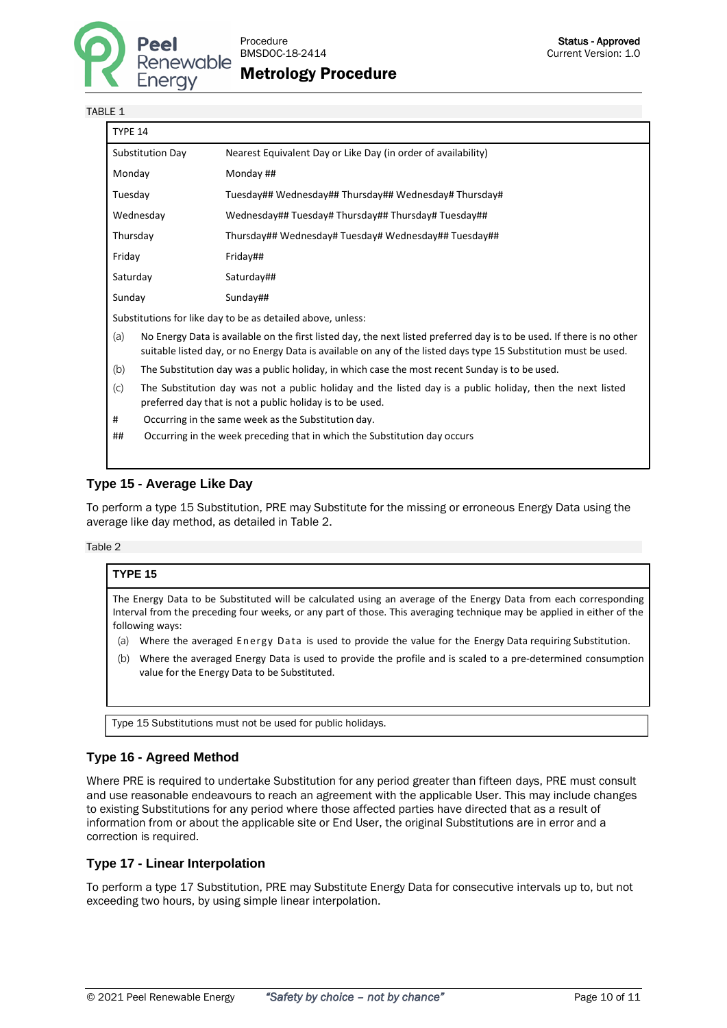

Procedure BMSDOC-18-2414

## Metrology Procedure

TARI F 1

| TYPE 14   |                                                                                                                                                                                                                                            |                                                               |
|-----------|--------------------------------------------------------------------------------------------------------------------------------------------------------------------------------------------------------------------------------------------|---------------------------------------------------------------|
|           | Substitution Day                                                                                                                                                                                                                           | Nearest Equivalent Day or Like Day (in order of availability) |
| Monday    |                                                                                                                                                                                                                                            | Monday ##                                                     |
| Tuesday   |                                                                                                                                                                                                                                            | Tuesday## Wednesday## Thursday## Wednesday# Thursday#         |
| Wednesday |                                                                                                                                                                                                                                            | Wednesday## Tuesday# Thursday## Thursday# Tuesday##           |
| Thursday  |                                                                                                                                                                                                                                            | Thursday## Wednesday# Tuesday# Wednesday## Tuesday##          |
| Friday    |                                                                                                                                                                                                                                            | Friday##                                                      |
| Saturday  |                                                                                                                                                                                                                                            | Saturday##                                                    |
| Sunday    |                                                                                                                                                                                                                                            | Sunday##                                                      |
|           |                                                                                                                                                                                                                                            | Substitutions for like day to be as detailed above, unless:   |
| (a)       | No Energy Data is available on the first listed day, the next listed preferred day is to be used. If there is no other<br>suitable listed day, or no Energy Data is available on any of the listed days type 15 Substitution must be used. |                                                               |
| (b)       | The Substitution day was a public holiday, in which case the most recent Sunday is to be used.                                                                                                                                             |                                                               |
| (c)       | The Substitution day was not a public holiday and the listed day is a public holiday, then the next listed<br>preferred day that is not a public holiday is to be used.                                                                    |                                                               |
| #         |                                                                                                                                                                                                                                            | Occurring in the same week as the Substitution day.           |

## Occurring in the week preceding that in which the Substitution day occurs

#### **Type 15 - Average Like Day**

To perform a type 15 Substitution, PRE may Substitute for the missing or erroneous Energy Data using the average like day method, as detailed in Table 2.

#### Table 2

#### **TYPE 15**

The Energy Data to be Substituted will be calculated using an average of the Energy Data from each corresponding Interval from the preceding four weeks, or any part of those. This averaging technique may be applied in either of the following ways:

- (a) Where the averaged Energy Data is used to provide the value for the Energy Data requiring Substitution.
- (b) Where the averaged Energy Data is used to provide the profile and is scaled to a pre-determined consumption value for the Energy Data to be Substituted.

Type 15 Substitutions must not be used for public holidays.

#### **Type 16 - Agreed Method**

Where PRE is required to undertake Substitution for any period greater than fifteen days, PRE must consult and use reasonable endeavours to reach an agreement with the applicable User. This may include changes to existing Substitutions for any period where those affected parties have directed that as a result of information from or about the applicable site or End User, the original Substitutions are in error and a correction is required.

#### **Type 17 - Linear Interpolation**

To perform a type 17 Substitution, PRE may Substitute Energy Data for consecutive intervals up to, but not exceeding two hours, by using simple linear interpolation.